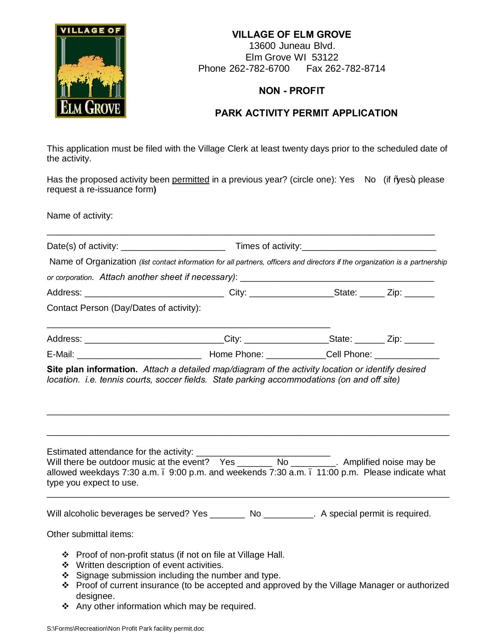## **VILLAGE OF**

**VILLAGE OF ELM GROVE** 13600 Juneau Blvd. Elm Grove WI 53122 Phone 262-782-6700 Fax 262-782-8714

## **NON - PROFIT**

## **PARK ACTIVITY PERMIT APPLICATION**

This application must be filed with the Village Clerk at least twenty days prior to the scheduled date of the activity.

Has the proposed activity been permitted in a previous year? (circle one): Yes No (if \es+, please request a re-issuance form**)**

Name of activity:

|                                                                           | Name of Organization (list contact information for all partners, officers and directors if the organization is a partnership                                                                                                                                                |  |  |
|---------------------------------------------------------------------------|-----------------------------------------------------------------------------------------------------------------------------------------------------------------------------------------------------------------------------------------------------------------------------|--|--|
|                                                                           |                                                                                                                                                                                                                                                                             |  |  |
|                                                                           |                                                                                                                                                                                                                                                                             |  |  |
| Contact Person (Day/Dates of activity):                                   |                                                                                                                                                                                                                                                                             |  |  |
|                                                                           | Address: _______________________________City: ____________________State: _______ Zip: _______                                                                                                                                                                               |  |  |
|                                                                           |                                                                                                                                                                                                                                                                             |  |  |
| Estimated attendance for the activity: _______<br>type you expect to use. | Estimated attendance for the activity: __________________________________<br>Will there be outdoor music at the event? Yes ________ No _________. Amplified noise may be<br>allowed weekdays 7:30 a.m. . 9:00 p.m. and weekends 7:30 a.m. . 11:00 p.m. Please indicate what |  |  |
| Other submittal items:                                                    | Will alcoholic beverages be served? Yes _________ No __________. A special permit is required.                                                                                                                                                                              |  |  |
| ❖ Written description of event activities.<br>❖<br>❖<br>designee.         | ❖ Proof of non-profit status (if not on file at Village Hall.<br>Signage submission including the number and type.<br>Proof of current insurance (to be accepted and approved by the Village Manager or authorized                                                          |  |  |

 $\div$  Any other information which may be required.